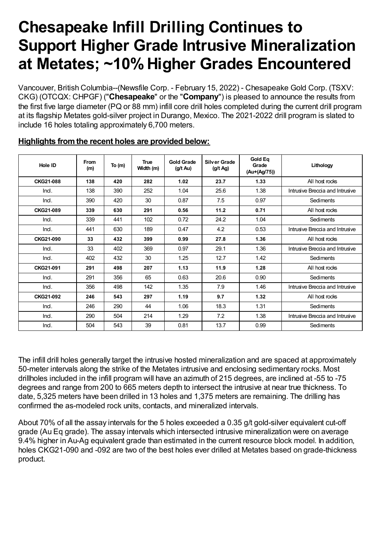# **Chesapeake Infill Drilling Continues to Support Higher Grade Intrusive Mineralization at Metates; ~10%Higher Grades Encountered**

Vancouver, British Columbia--(Newsfile Corp. - February 15, 2022) - Chesapeake Gold Corp. (TSXV: CKG) (OTCQX: CHPGF) ("**Chesapeake**" or the "**Company**") is pleased to announce the results from the first five large diameter (PQ or 88 mm) infill core drill holes completed during the current drill program at its flagship Metates gold-silver project in Durango, Mexico. The 2021-2022 drill program is slated to include 16 holes totaling approximately 6,700 meters.

| Hole ID   | From<br>(m) | To $(m)$ | <b>True</b><br>Width (m) | <b>Gold Grade</b><br>$(g/t \text{ Au})$ | <b>Silver Grade</b><br>(g/t Ag) | <b>Gold Ea</b><br>Grade<br>(Au+(Ag/75)) | Lithology                       |
|-----------|-------------|----------|--------------------------|-----------------------------------------|---------------------------------|-----------------------------------------|---------------------------------|
| CKG21-088 | 138         | 420      | 282                      | 1.02                                    | 23.7                            | 1.33                                    | All host rocks                  |
| Ind.      | 138         | 390      | 252                      | 1.04                                    | 25.6                            | 1.38                                    | Intrusive Breccia and Intrusive |
| Ind.      | 390         | 420      | 30                       | 0.87                                    | 7.5                             | 0.97                                    | Sediments                       |
| CKG21-089 | 339         | 630      | 291                      | 0.56                                    | 11.2                            | 0.71                                    | All host rocks                  |
| Ind.      | 339         | 441      | 102                      | 0.72                                    | 24.2                            | 1.04                                    | <b>Sediments</b>                |
| Ind.      | 441         | 630      | 189                      | 0.47                                    | 4.2                             | 0.53                                    | Intrusive Breccia and Intrusive |
| CKG21-090 | 33          | 432      | 399                      | 0.99                                    | 27.8                            | 1.36                                    | All host rocks                  |
| Ind.      | 33          | 402      | 369                      | 0.97                                    | 29.1                            | 1.36                                    | Intrusive Breccia and Intrusive |
| Ind.      | 402         | 432      | 30                       | 1.25                                    | 12.7                            | 1.42                                    | Sediments                       |
| CKG21-091 | 291         | 498      | 207                      | 1.13                                    | 11.9                            | 1.28                                    | All host rocks                  |
| Ind.      | 291         | 356      | 65                       | 0.63                                    | 20.6                            | 0.90                                    | Sediments                       |
| Ind.      | 356         | 498      | 142                      | 1.35                                    | 7.9                             | 1.46                                    | Intrusive Breccia and Intrusive |
| CKG21-092 | 246         | 543      | 297                      | 1.19                                    | 9.7                             | 1.32                                    | All host rocks                  |
| Ind.      | 246         | 290      | 44                       | 1.06                                    | 18.3                            | 1.31                                    | Sediments                       |
| Ind.      | 290         | 504      | 214                      | 1.29                                    | 7.2                             | 1.38                                    | Intrusive Breccia and Intrusive |
| Ind.      | 504         | 543      | 39                       | 0.81                                    | 13.7                            | 0.99                                    | Sediments                       |

#### **Highlights fromthe recent holes are provided below:**

The infill drill holes generally target the intrusive hosted mineralization and are spaced at approximately 50-meter intervals along the strike of the Metates intrusive and enclosing sedimentary rocks. Most drillholes included in the infill program will have an azimuth of 215 degrees, are inclined at -55 to -75 degrees and range from 200 to 665 meters depth to intersect the intrusive at near true thickness. To date, 5,325 meters have been drilled in 13 holes and 1,375 meters are remaining. The drilling has confirmed the as-modeled rock units, contacts, and mineralized intervals.

About 70% of all the assay intervals for the 5 holes exceeded a 0.35 g/t gold-silver equivalent cut-off grade (Au Eq grade). The assay intervals which intersected intrusive mineralization were on average 9.4% higher in Au-Ag equivalent grade than estimated in the current resource block model. In addition, holes CKG21-090 and -092 are two of the best holes ever drilled at Metates based on grade-thickness product.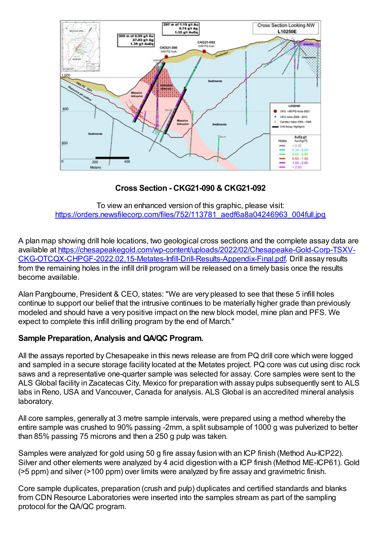

**Cross Section - CKG21-090 & CKG21-092**

To view an enhanced version of this graphic, please visit: https://orders.newsfilecorp.com/files/752/113781\_aedf6a8a04246963\_004full.jpg

A plan map showing drill hole locations, two geological cross sections and the complete assay data are available at https://chesapeakegold.com/wp-content/uploads/2022/02/Chesapeake-Gold-Corp-TSXV-CKG-OTCQX-CHPGF-2022.02.15-Metates-Infill-Drill-Results-Appendix-Final.pdf. Drill assay results from the remaining holes in the infill drill program will be released on a timely basis once the results become available.

Alan Pangbourne, President & CEO, states: "We are very pleased to see that these 5 infill holes continue to support our belief that the intrusive continues to be materially higher grade than previously modeled and should have a very positive impact on the new block model, mine plan and PFS. We expect to complete this infill drilling program by the end of March."

## **Sample Preparation, Analysis and QA/QC Program.**

All the assays reported by Chesapeake in this news release are from PQ drill core which were logged and sampled in a secure storage facility located at the Metates project. PQ core was cut using disc rock saws and a representative one-quarter sample was selected for assay. Core samples were sent to the ALS Global facility in Zacatecas City, Mexico for preparation with assay pulps subsequently sent to ALS labs in Reno, USA and Vancouver, Canada for analysis. ALS Global is an accredited mineral analysis laboratory.

All core samples, generally at 3 metre sample intervals, were prepared using a method whereby the entire sample was crushed to 90% passing -2mm, a split subsample of 1000 g was pulverized to better than 85% passing 75 microns and then a 250 g pulp was taken.

Samples were analyzed for gold using 50 g fire assay fusion with an ICP finish (Method Au-ICP22). Silver and other elements were analyzed by 4 acid digestion with a ICP finish (Method ME-ICP61). Gold (>5 ppm) and silver (>100 ppm) over limits were analyzed by fire assay and gravimetric finish.

Core sample duplicates, preparation (crush and pulp) duplicates and certified standards and blanks from CDN Resource Laboratories were inserted into the samples stream as part of the sampling protocol for the QA/QC program.